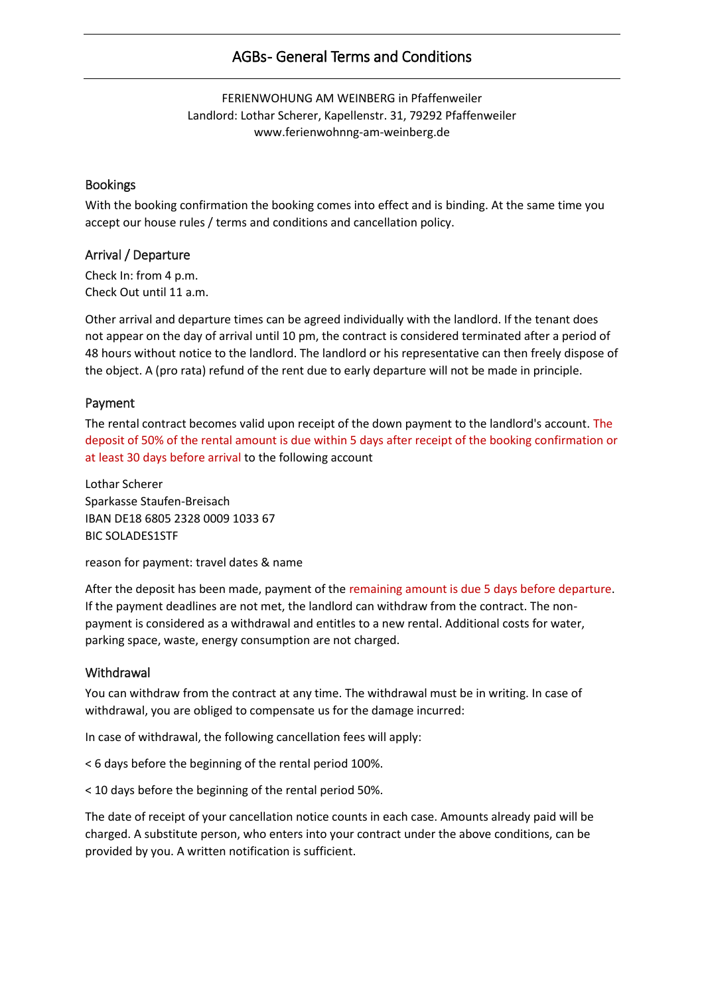# AGBs- General Terms and Conditions

FERIENWOHUNG AM WEINBERG in Pfaffenweiler Landlord: Lothar Scherer, Kapellenstr. 31, 79292 Pfaffenweiler www.ferienwohnng-am-weinberg.de

#### Bookings

With the booking confirmation the booking comes into effect and is binding. At the same time you accept our house rules / terms and conditions and cancellation policy.

# Arrival / Departure

Check In: from 4 p.m. Check Out until 11 a.m.

Other arrival and departure times can be agreed individually with the landlord. If the tenant does not appear on the day of arrival until 10 pm, the contract is considered terminated after a period of 48 hours without notice to the landlord. The landlord or his representative can then freely dispose of the object. A (pro rata) refund of the rent due to early departure will not be made in principle.

#### Payment

The rental contract becomes valid upon receipt of the down payment to the landlord's account. The deposit of 50% of the rental amount is due within 5 days after receipt of the booking confirmation or at least 30 days before arrival to the following account

Lothar Scherer Sparkasse Staufen-Breisach IBAN DE18 6805 2328 0009 1033 67 BIC SOLADES1STF

reason for payment: travel dates & name

After the deposit has been made, payment of the remaining amount is due 5 days before departure. If the payment deadlines are not met, the landlord can withdraw from the contract. The nonpayment is considered as a withdrawal and entitles to a new rental. Additional costs for water, parking space, waste, energy consumption are not charged.

#### **Withdrawal**

You can withdraw from the contract at any time. The withdrawal must be in writing. In case of withdrawal, you are obliged to compensate us for the damage incurred:

In case of withdrawal, the following cancellation fees will apply:

< 6 days before the beginning of the rental period 100%.

< 10 days before the beginning of the rental period 50%.

The date of receipt of your cancellation notice counts in each case. Amounts already paid will be charged. A substitute person, who enters into your contract under the above conditions, can be provided by you. A written notification is sufficient.